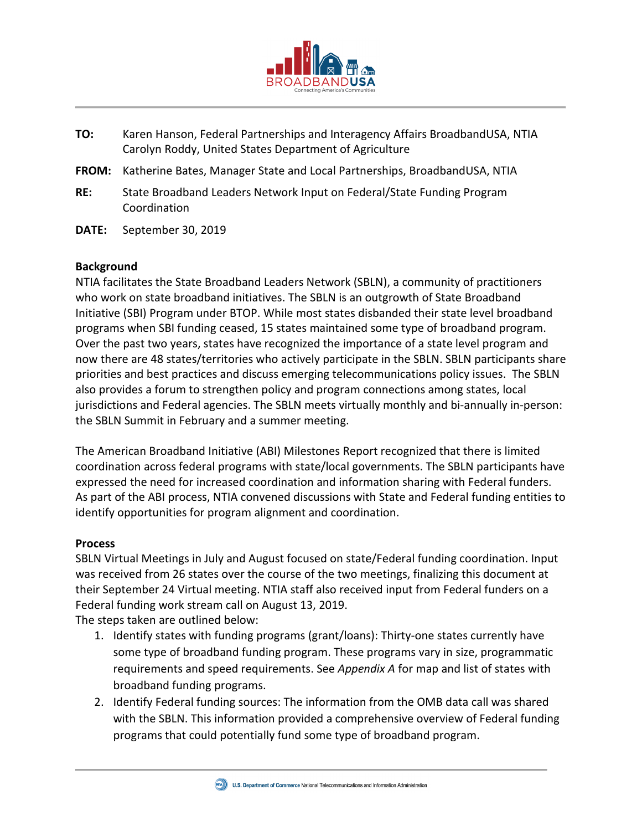

- **TO:** Karen Hanson, Federal Partnerships and Interagency Affairs BroadbandUSA, NTIA Carolyn Roddy, United States Department of Agriculture
- **FROM:** Katherine Bates, Manager State and Local Partnerships, BroadbandUSA, NTIA
- **RE:** State Broadband Leaders Network Input on Federal/State Funding Program Coordination
- **DATE:** September 30, 2019

#### **Background**

NTIA facilitates the State Broadband Leaders Network (SBLN), a community of practitioners who work on state broadband initiatives. The SBLN is an outgrowth of State Broadband Initiative (SBI) Program under BTOP. While most states disbanded their state level broadband programs when SBI funding ceased, 15 states maintained some type of broadband program. Over the past two years, states have recognized the importance of a state level program and now there are 48 states/territories who actively participate in the SBLN. SBLN participants share priorities and best practices and discuss emerging telecommunications policy issues. The SBLN also provides a forum to strengthen policy and program connections among states, local jurisdictions and Federal agencies. The SBLN meets virtually monthly and bi-annually in-person: the SBLN Summit in February and a summer meeting.

The American Broadband Initiative (ABI) Milestones Report recognized that there is limited coordination across federal programs with state/local governments. The SBLN participants have expressed the need for increased coordination and information sharing with Federal funders. As part of the ABI process, NTIA convened discussions with State and Federal funding entities to identify opportunities for program alignment and coordination.

#### **Process**

SBLN Virtual Meetings in July and August focused on state/Federal funding coordination. Input was received from 26 states over the course of the two meetings, finalizing this document at their September 24 Virtual meeting. NTIA staff also received input from Federal funders on a Federal funding work stream call on August 13, 2019.

The steps taken are outlined below:

- 1. Identify states with funding programs (grant/loans): Thirty-one states currently have some type of broadband funding program. These programs vary in size, programmatic requirements and speed requirements. See *Appendix A* for map and list of states with broadband funding programs.
- 2. Identify Federal funding sources: The information from the OMB data call was shared with the SBLN. This information provided a comprehensive overview of Federal funding programs that could potentially fund some type of broadband program.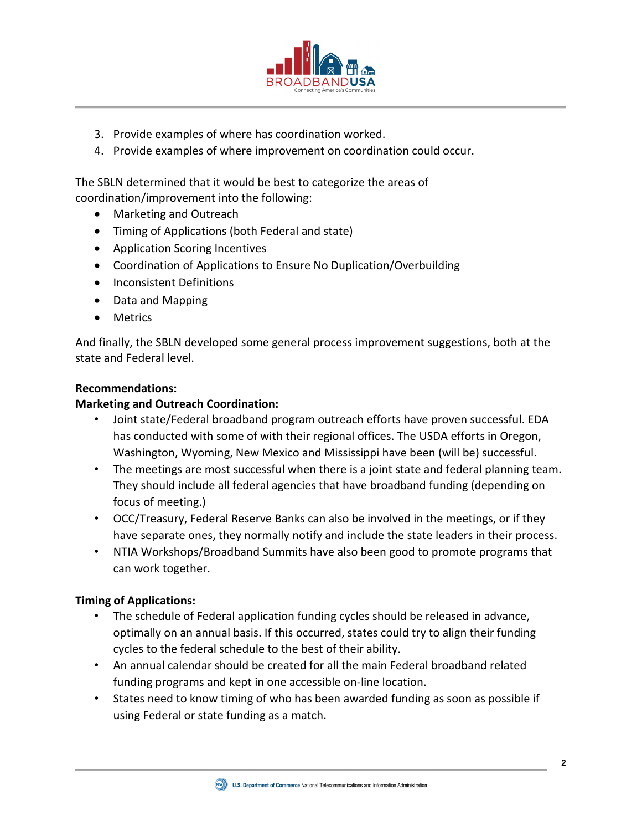

- 3. Provide examples of where has coordination worked.
- 4. Provide examples of where improvement on coordination could occur.

The SBLN determined that it would be best to categorize the areas of coordination/improvement into the following:

- Marketing and Outreach
- Timing of Applications (both Federal and state)
- Application Scoring Incentives
- Coordination of Applications to Ensure No Duplication/Overbuilding
- Inconsistent Definitions
- Data and Mapping
- Metrics

And finally, the SBLN developed some general process improvement suggestions, both at the state and Federal level.

### **Recommendations:**

## **Marketing and Outreach Coordination:**

- Joint state/Federal broadband program outreach efforts have proven successful. EDA has conducted with some of with their regional offices. The USDA efforts in Oregon, Washington, Wyoming, New Mexico and Mississippi have been (will be) successful.
- The meetings are most successful when there is a joint state and federal planning team. They should include all federal agencies that have broadband funding (depending on focus of meeting.)
- OCC/Treasury, Federal Reserve Banks can also be involved in the meetings, or if they have separate ones, they normally notify and include the state leaders in their process.
- NTIA Workshops/Broadband Summits have also been good to promote programs that can work together.

## **Timing of Applications:**

- The schedule of Federal application funding cycles should be released in advance, optimally on an annual basis. If this occurred, states could try to align their funding cycles to the federal schedule to the best of their ability.
- An annual calendar should be created for all the main Federal broadband related funding programs and kept in one accessible on-line location.
- States need to know timing of who has been awarded funding as soon as possible if using Federal or state funding as a match.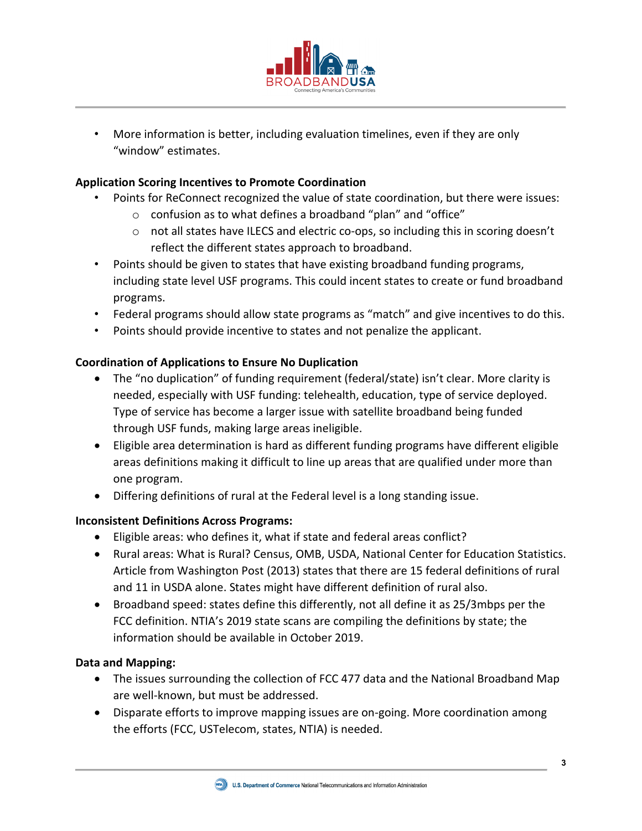

• More information is better, including evaluation timelines, even if they are only "window" estimates.

## **Application Scoring Incentives to Promote Coordination**

- Points for ReConnect recognized the value of state coordination, but there were issues:
	- o confusion as to what defines a broadband "plan" and "office"
	- $\circ$  not all states have ILECS and electric co-ops, so including this in scoring doesn't reflect the different states approach to broadband.
- Points should be given to states that have existing broadband funding programs, including state level USF programs. This could incent states to create or fund broadband programs.
- Federal programs should allow state programs as "match" and give incentives to do this.
- Points should provide incentive to states and not penalize the applicant.

### **Coordination of Applications to Ensure No Duplication**

- The "no duplication" of funding requirement (federal/state) isn't clear. More clarity is needed, especially with USF funding: telehealth, education, type of service deployed. Type of service has become a larger issue with satellite broadband being funded through USF funds, making large areas ineligible.
- Eligible area determination is hard as different funding programs have different eligible areas definitions making it difficult to line up areas that are qualified under more than one program.
- Differing definitions of rural at the Federal level is a long standing issue.

#### **Inconsistent Definitions Across Programs:**

- Eligible areas: who defines it, what if state and federal areas conflict?
- Rural areas: What is Rural? Census, OMB, USDA, National Center for Education Statistics. Article from Washington Post (2013) states that there are 15 federal definitions of rural and 11 in USDA alone. States might have different definition of rural also.
- Broadband speed: states define this differently, not all define it as 25/3mbps per the FCC definition. NTIA's 2019 state scans are compiling the definitions by state; the information should be available in October 2019.

#### **Data and Mapping:**

- The issues surrounding the collection of FCC 477 data and the National Broadband Map are well-known, but must be addressed.
- Disparate efforts to improve mapping issues are on-going. More coordination among the efforts (FCC, USTelecom, states, NTIA) is needed.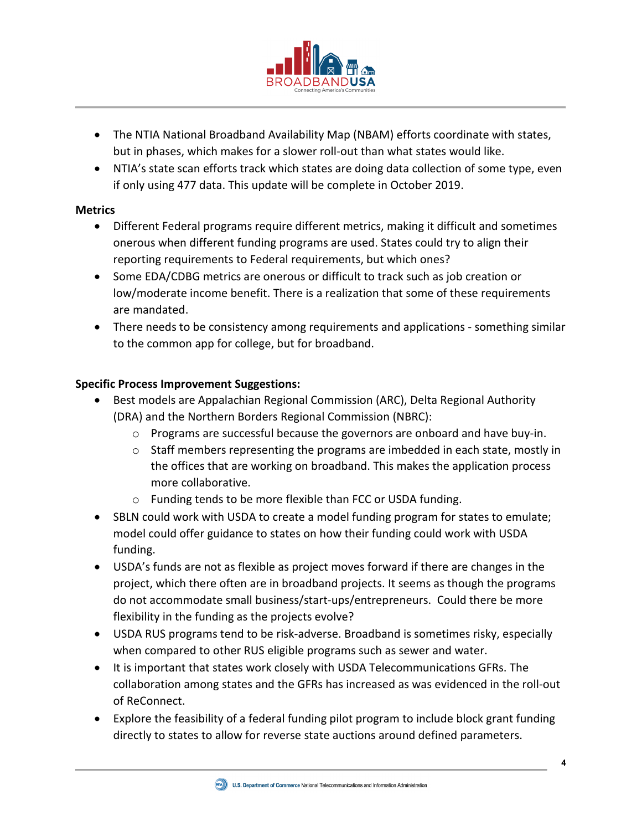

- The NTIA National Broadband Availability Map (NBAM) efforts coordinate with states, but in phases, which makes for a slower roll-out than what states would like.
- NTIA's state scan efforts track which states are doing data collection of some type, even if only using 477 data. This update will be complete in October 2019.

#### **Metrics**

- Different Federal programs require different metrics, making it difficult and sometimes onerous when different funding programs are used. States could try to align their reporting requirements to Federal requirements, but which ones?
- Some EDA/CDBG metrics are onerous or difficult to track such as job creation or low/moderate income benefit. There is a realization that some of these requirements are mandated.
- There needs to be consistency among requirements and applications something similar to the common app for college, but for broadband.

### **Specific Process Improvement Suggestions:**

- Best models are Appalachian Regional Commission (ARC), Delta Regional Authority (DRA) and the Northern Borders Regional Commission (NBRC):
	- $\circ$  Programs are successful because the governors are onboard and have buy-in.
	- o Staff members representing the programs are imbedded in each state, mostly in the offices that are working on broadband. This makes the application process more collaborative.
	- o Funding tends to be more flexible than FCC or USDA funding.
- SBLN could work with USDA to create a model funding program for states to emulate; model could offer guidance to states on how their funding could work with USDA funding.
- USDA's funds are not as flexible as project moves forward if there are changes in the project, which there often are in broadband projects. It seems as though the programs do not accommodate small business/start-ups/entrepreneurs. Could there be more flexibility in the funding as the projects evolve?
- USDA RUS programs tend to be risk-adverse. Broadband is sometimes risky, especially when compared to other RUS eligible programs such as sewer and water.
- It is important that states work closely with USDA Telecommunications GFRs. The collaboration among states and the GFRs has increased as was evidenced in the roll-out of ReConnect.
- Explore the feasibility of a federal funding pilot program to include block grant funding directly to states to allow for reverse state auctions around defined parameters.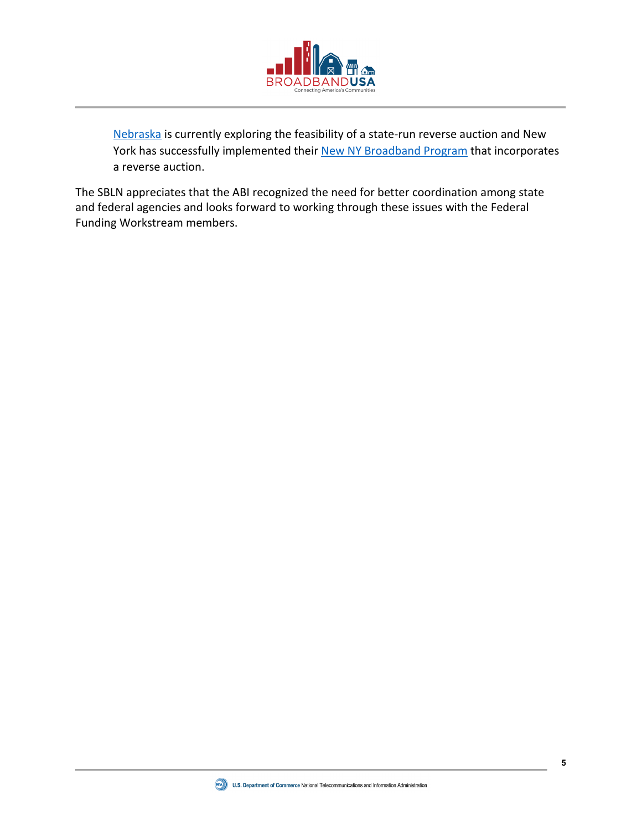

[Nebraska](https://ruralbroadband.nebraska.gov/meetings/task-force/2019Sept/DraftNUSFRecommendationsAug222019.pdf) is currently exploring the feasibility of a state-run reverse auction and New York has successfully implemented their [New NY Broadband Program](https://esd.ny.gov/esd-media-center/esd-blog/new-ny-broadband-program) that incorporates a reverse auction.

The SBLN appreciates that the ABI recognized the need for better coordination among state and federal agencies and looks forward to working through these issues with the Federal Funding Workstream members.

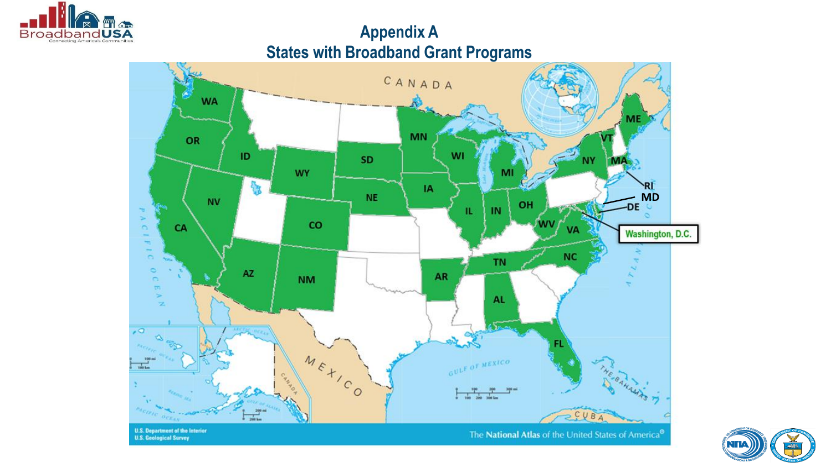

# **Appendix A States with Broadband Grant Programs**



![](_page_5_Picture_3.jpeg)